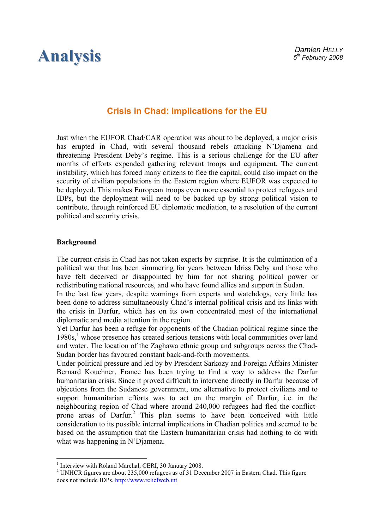# **Analysis**

# **Crisis in Chad: implications for the EU**

Just when the EUFOR Chad/CAR operation was about to be deployed, a major crisis has erupted in Chad, with several thousand rebels attacking N'Djamena and threatening President Deby's regime. This is a serious challenge for the EU after months of efforts expended gathering relevant troops and equipment. The current instability, which has forced many citizens to flee the capital, could also impact on the security of civilian populations in the Eastern region where EUFOR was expected to be deployed. This makes European troops even more essential to protect refugees and IDPs, but the deployment will need to be backed up by strong political vision to contribute, through reinforced EU diplomatic mediation, to a resolution of the current political and security crisis.

## **Background**

 $\overline{a}$ 

The current crisis in Chad has not taken experts by surprise. It is the culmination of a political war that has been simmering for years between Idriss Deby and those who have felt deceived or disappointed by him for not sharing political power or redistributing national resources, and who have found allies and support in Sudan.

In the last few years, despite warnings from experts and watchdogs, very little has been done to address simultaneously Chad's internal political crisis and its links with the crisis in Darfur, which has on its own concentrated most of the international diplomatic and media attention in the region.

Yet Darfur has been a refuge for opponents of the Chadian political regime since the 1980s,<sup>1</sup> whose presence has created serious tensions with local communities over land and water. The location of the Zaghawa ethnic group and subgroups across the Chad-Sudan border has favoured constant back-and-forth movements.

Under political pressure and led by by President Sarkozy and Foreign Affairs Minister Bernard Kouchner, France has been trying to find a way to address the Darfur humanitarian crisis. Since it proved difficult to intervene directly in Darfur because of objections from the Sudanese government, one alternative to protect civilians and to support humanitarian efforts was to act on the margin of Darfur, i.e. in the neighbouring region of Chad where around 240,000 refugees had fled the conflictprone areas of Darfur.<sup>2</sup> This plan seems to have been conceived with little consideration to its possible internal implications in Chadian politics and seemed to be based on the assumption that the Eastern humanitarian crisis had nothing to do with what was happening in N'Djamena.

<sup>&</sup>lt;sup>1</sup> Interview with Roland Marchal, CERI, 30 January 2008.

<sup>&</sup>lt;sup>2</sup> UNHCR figures are about 235,000 refugees as of 31 December 2007 in Eastern Chad. This figure does not include IDPs[. http://www.reliefweb.int](www.reliefweb.int)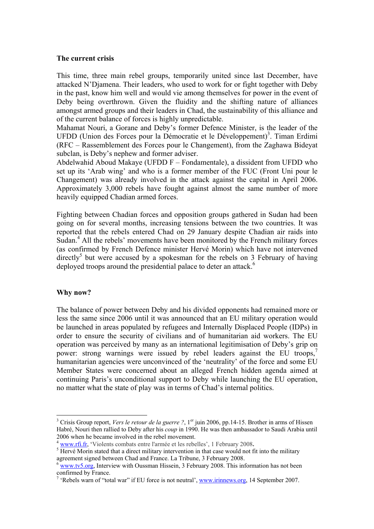#### **The current crisis**

This time, three main rebel groups, temporarily united since last December, have attacked N'Djamena. Their leaders, who used to work for or fight together with Deby in the past, know him well and would vie among themselves for power in the event of Deby being overthrown. Given the fluidity and the shifting nature of alliances amongst armed groups and their leaders in Chad, the sustainability of this alliance and of the current balance of forces is highly unpredictable.

Mahamat Nouri, a Gorane and Deby's former Defence Minister, is the leader of the UFDD (Union des Forces pour la Démocratie et le Développement)<sup>3</sup>. Timan Erdimi (RFC – Rassemblement des Forces pour le Changement), from the Zaghawa Bideyat subclan, is Deby's nephew and former adviser.

Abdelwahid Aboud Makaye (UFDD F – Fondamentale), a dissident from UFDD who set up its 'Arab wing' and who is a former member of the FUC (Front Uni pour le Changement) was already involved in the attack against the capital in April 2006. Approximately 3,000 rebels have fought against almost the same number of more heavily equipped Chadian armed forces.

Fighting between Chadian forces and opposition groups gathered in Sudan had been going on for several months, increasing tensions between the two countries. It was reported that the rebels entered Chad on 29 January despite Chadian air raids into Sudan.<sup>4</sup> All the rebels' movements have been monitored by the French military forces (as confirmed by French Defence minister Hervé Morin) which have not intervened directly<sup>5</sup> but were accused by a spokesman for the rebels on 3 February of having deployed troops around the presidential palace to deter an attack.<sup>6</sup>

#### **Why now?**

 $\overline{a}$ 

The balance of power between Deby and his divided opponents had remained more or less the same since 2006 until it was announced that an EU military operation would be launched in areas populated by refugees and Internally Displaced People (IDPs) in order to ensure the security of civilians and of humanitarian aid workers. The EU operation was perceived by many as an international legitimisation of Deby's grip on power: strong warnings were issued by rebel leaders against the EU troops, humanitarian agencies were unconvinced of the 'neutrality' of the force and some EU Member States were concerned about an alleged French hidden agenda aimed at continuing Paris's unconditional support to Deby while launching the EU operation, no matter what the state of play was in terms of Chad's internal politics.

<sup>&</sup>lt;sup>3</sup> Crisis Group report, *Vers le retour de la guerre ?*, 1<sup>er</sup> juin 2006, pp.14-15. Brother in arms of Hissen Habré, Nouri then rallied to Deby after his *coup* in 1990. He was then ambassador to Saudi Arabia until 2006 when he became involved in the rebel movement.

<sup>4</sup> [www.rfi.fr, 'V](www.rfi.fr)iolents combats entre l'armée et les rebelles', 1 February 2008**.** <sup>5</sup>

 $\frac{1}{2}$  Hervé Morin stated that a direct military intervention in that case would not fit into the military agreement signed between Chad and France. La Tribune, 3 February 2008.<br><sup>6</sup> [www.tv5.org,](www.tv5.org) Interview with Oussman Hissein, 3 February 2008. This information has not been

confirmed by France.

<sup>&</sup>lt;sup>7</sup> 'Rebels warn of "total war" if EU force is not neutral',<www.irinnews.org>, 14 September 2007.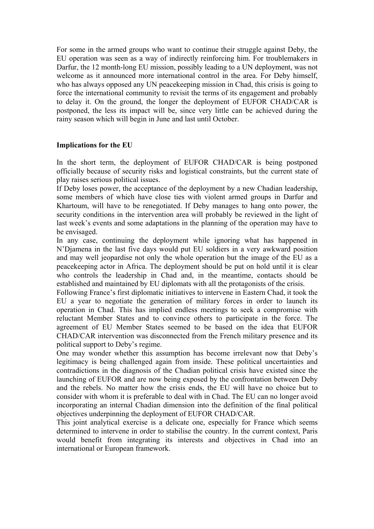For some in the armed groups who want to continue their struggle against Deby, the EU operation was seen as a way of indirectly reinforcing him. For troublemakers in Darfur, the 12 month-long EU mission, possibly leading to a UN deployment, was not welcome as it announced more international control in the area. For Deby himself, who has always opposed any UN peacekeeping mission in Chad, this crisis is going to force the international community to revisit the terms of its engagement and probably to delay it. On the ground, the longer the deployment of EUFOR CHAD/CAR is postponed, the less its impact will be, since very little can be achieved during the rainy season which will begin in June and last until October.

### **Implications for the EU**

In the short term, the deployment of EUFOR CHAD/CAR is being postponed officially because of security risks and logistical constraints, but the current state of play raises serious political issues.

If Deby loses power, the acceptance of the deployment by a new Chadian leadership, some members of which have close ties with violent armed groups in Darfur and Khartoum, will have to be renegotiated. If Deby manages to hang onto power, the security conditions in the intervention area will probably be reviewed in the light of last week's events and some adaptations in the planning of the operation may have to be envisaged.

In any case, continuing the deployment while ignoring what has happened in N'Djamena in the last five days would put EU soldiers in a very awkward position and may well jeopardise not only the whole operation but the image of the EU as a peacekeeping actor in Africa. The deployment should be put on hold until it is clear who controls the leadership in Chad and, in the meantime, contacts should be established and maintained by EU diplomats with all the protagonists of the crisis.

Following France's first diplomatic initiatives to intervene in Eastern Chad, it took the EU a year to negotiate the generation of military forces in order to launch its operation in Chad. This has implied endless meetings to seek a compromise with reluctant Member States and to convince others to participate in the force. The agreement of EU Member States seemed to be based on the idea that EUFOR CHAD/CAR intervention was disconnected from the French military presence and its political support to Deby's regime.

One may wonder whether this assumption has become irrelevant now that Deby's legitimacy is being challenged again from inside. These political uncertainties and contradictions in the diagnosis of the Chadian political crisis have existed since the launching of EUFOR and are now being exposed by the confrontation between Deby and the rebels. No matter how the crisis ends, the EU will have no choice but to consider with whom it is preferable to deal with in Chad. The EU can no longer avoid incorporating an internal Chadian dimension into the definition of the final political objectives underpinning the deployment of EUFOR CHAD/CAR.

This joint analytical exercise is a delicate one, especially for France which seems determined to intervene in order to stabilise the country. In the current context, Paris would benefit from integrating its interests and objectives in Chad into an international or European framework.